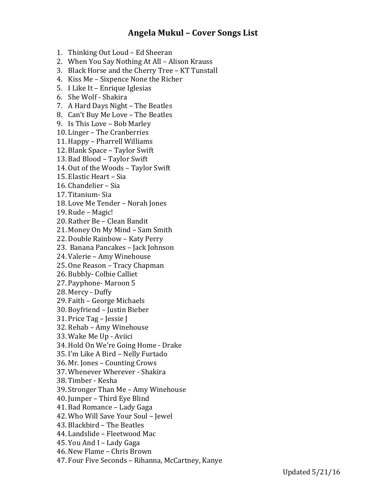## **Angela Mukul – Cover Songs List**

- 1. Thinking Out Loud Ed Sheeran
- 2. When You Say Nothing At All Alison Krauss
- 3. Black Horse and the Cherry Tree KT Tunstall
- 4. Kiss Me Sixpence None the Richer
- 5. I Like It Enrique Iglesias
- 6. She Wolf Shakira
- 7. A Hard Days Night The Beatles
- 8. Can't Buy Me Love The Beatles
- 9. Is This Love Bob Marley
- 10. Linger The Cranberries
- 11. Happy Pharrell Williams
- 12. Blank Space Taylor Swift
- 13. Bad Blood Taylor Swift
- 14. Out of the Woods Taylor Swift
- 15. Elastic Heart Sia
- 16. Chandelier Sia
- 17. Titanium- Sia
- 18. Love Me Tender Norah Jones
- 19. Rude Magic!
- 20. Rather Be Clean Bandit
- 21. Money On My Mind Sam Smith
- 22. Double Rainbow Katy Perry
- 23. Banana Pancakes Jack Johnson
- 24. Valerie Amy Winehouse
- 25. One Reason Tracy Chapman
- 26. Bubbly- Colbie Calliet
- 27. Payphone- Maroon 5
- 28. Mercy Duffy
- 29. Faith George Michaels
- 30. Boyfriend Justin Bieber
- 31. Price Tag Jessie J
- 32. Rehab Amy Winehouse
- 33. Wake Me Up Aviici
- 34. Hold On We're Going Home Drake
- 35. I'm Like A Bird Nelly Furtado
- 36. Mr. Jones Counting Crows
- 37. Whenever Wherever Shakira
- 38. Timber Kesha
- 39. Stronger Than Me Amy Winehouse
- 40. Jumper Third Eye Blind
- 41. Bad Romance Lady Gaga
- 42. Who Will Save Your Soul Jewel
- 43. Blackbird The Beatles
- 44. Landslide Fleetwood Mac
- 45. You And I Lady Gaga
- 46. New Flame Chris Brown
- 47. Four Five Seconds Rihanna, McCartney, Kanye